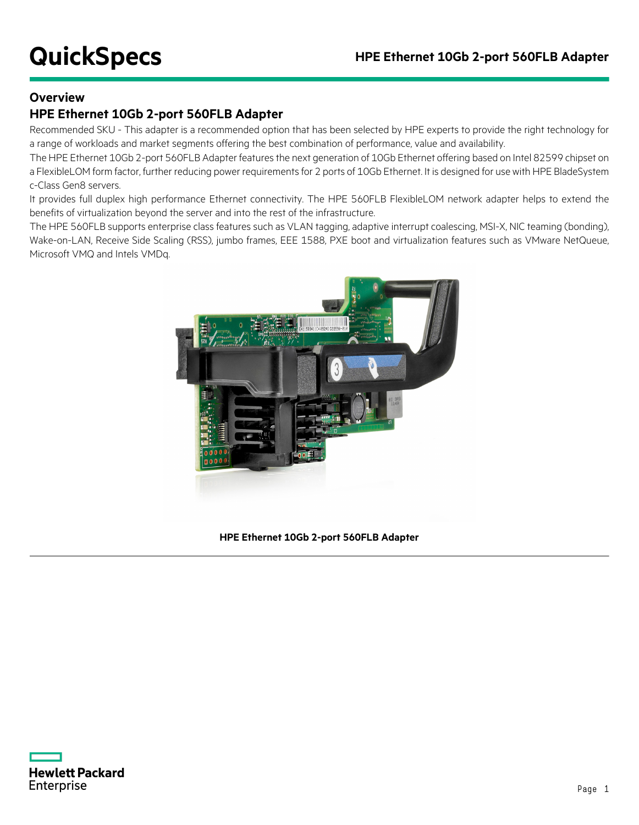#### **Overview**

#### **HPE Ethernet 10Gb 2-port 560FLB Adapter**

Recommended SKU - This adapter is a recommended option that has been selected by HPE experts to provide the right technology for a range of workloads and market segments offering the best combination of performance, value and availability.

The HPE Ethernet 10Gb 2-port 560FLB Adapter features the next generation of 10Gb Ethernet offering based on Intel 82599 chipset on a FlexibleLOM form factor, further reducing power requirements for 2 ports of 10Gb Ethernet. It is designed for use with HPE BladeSystem c-Class Gen8 servers.

It provides full duplex high performance Ethernet connectivity. The HPE 560FLB FlexibleLOM network adapter helps to extend the benefits of virtualization beyond the server and into the rest of the infrastructure.

The HPE 560FLB supports enterprise class features such as VLAN tagging, adaptive interrupt coalescing, MSI-X, NIC teaming (bonding), Wake-on-LAN, Receive Side Scaling (RSS), jumbo frames, EEE 1588, PXE boot and virtualization features such as VMware NetQueue, Microsoft VMQ and Intels VMDq.



**HPE Ethernet 10Gb 2-port 560FLB Adapter**

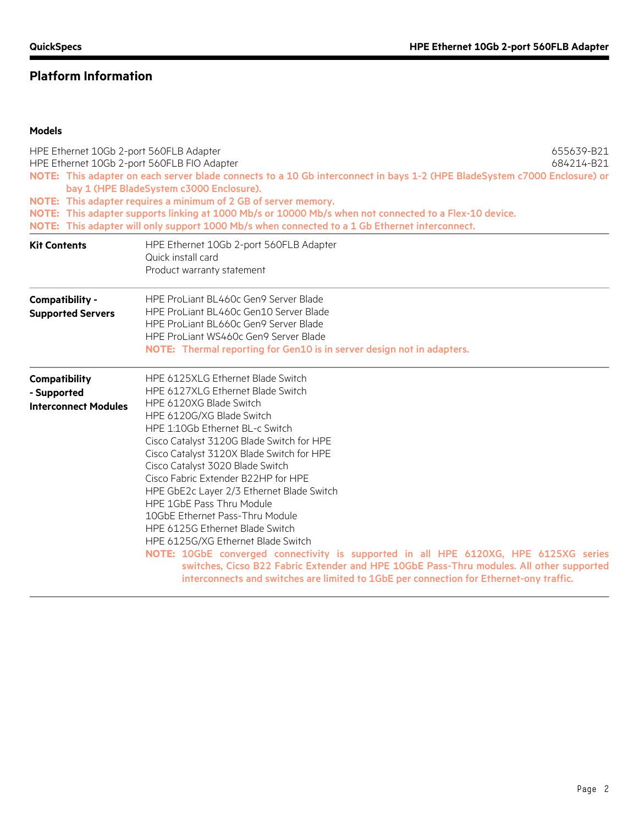#### **Platform Information**

#### **Models**

|                                                             | HPE Ethernet 10Gb 2-port 560FLB Adapter<br>655639-B21<br>HPE Ethernet 10Gb 2-port 560FLB FIO Adapter<br>684214-B21<br>NOTE: This adapter on each server blade connects to a 10 Gb interconnect in bays 1-2 (HPE BladeSystem c7000 Enclosure) or<br>bay 1 (HPE BladeSystem c3000 Enclosure).<br>NOTE: This adapter requires a minimum of 2 GB of server memory.<br>NOTE: This adapter supports linking at 1000 Mb/s or 10000 Mb/s when not connected to a Flex-10 device.<br>NOTE: This adapter will only support 1000 Mb/s when connected to a 1 Gb Ethernet interconnect.                                                                                                                                                                                                                                  |  |  |
|-------------------------------------------------------------|-------------------------------------------------------------------------------------------------------------------------------------------------------------------------------------------------------------------------------------------------------------------------------------------------------------------------------------------------------------------------------------------------------------------------------------------------------------------------------------------------------------------------------------------------------------------------------------------------------------------------------------------------------------------------------------------------------------------------------------------------------------------------------------------------------------|--|--|
| <b>Kit Contents</b>                                         | HPE Ethernet 10Gb 2-port 560FLB Adapter<br>Quick install card<br>Product warranty statement                                                                                                                                                                                                                                                                                                                                                                                                                                                                                                                                                                                                                                                                                                                 |  |  |
| Compatibility -<br><b>Supported Servers</b>                 | HPE ProLiant BL460c Gen9 Server Blade<br>HPE ProLiant BL460c Gen10 Server Blade<br>HPE ProLiant BL660c Gen9 Server Blade<br>HPE ProLiant WS460c Gen9 Server Blade<br>NOTE: Thermal reporting for Gen10 is in server design not in adapters.                                                                                                                                                                                                                                                                                                                                                                                                                                                                                                                                                                 |  |  |
| Compatibility<br>- Supported<br><b>Interconnect Modules</b> | HPE 6125XLG Ethernet Blade Switch<br>HPE 6127XLG Ethernet Blade Switch<br>HPE 6120XG Blade Switch<br>HPE 6120G/XG Blade Switch<br>HPE 1:10Gb Ethernet BL-c Switch<br>Cisco Catalyst 3120G Blade Switch for HPE<br>Cisco Catalyst 3120X Blade Switch for HPE<br>Cisco Catalyst 3020 Blade Switch<br>Cisco Fabric Extender B22HP for HPE<br>HPE GbE2c Layer 2/3 Ethernet Blade Switch<br>HPE 1GbE Pass Thru Module<br>10GbE Ethernet Pass-Thru Module<br>HPE 6125G Ethernet Blade Switch<br>HPE 6125G/XG Ethernet Blade Switch<br>NOTE: 10GbE converged connectivity is supported in all HPE 6120XG, HPE 6125XG series<br>switches, Cicso B22 Fabric Extender and HPE 10GbE Pass-Thru modules. All other supported<br>interconnects and switches are limited to 1GbE per connection for Ethernet-ony traffic. |  |  |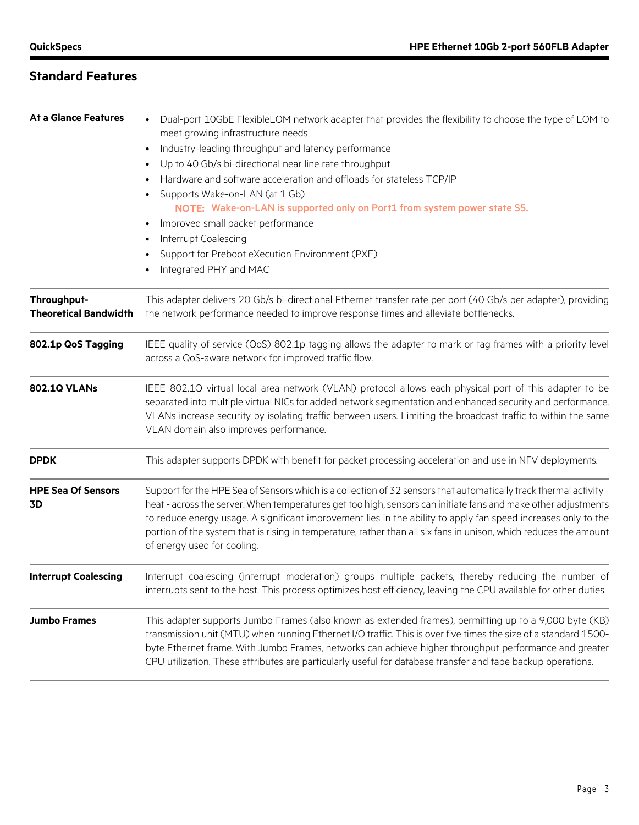### **Standard Features**

| <b>At a Glance Features</b>                 | Dual-port 10GbE FlexibleLOM network adapter that provides the flexibility to choose the type of LOM to<br>meet growing infrastructure needs<br>Industry-leading throughput and latency performance<br>$\bullet$<br>Up to 40 Gb/s bi-directional near line rate throughput<br>$\bullet$<br>Hardware and software acceleration and offloads for stateless TCP/IP<br>Supports Wake-on-LAN (at 1 Gb)<br>NOTE: Wake-on-LAN is supported only on Port1 from system power state S5.<br>Improved small packet performance<br>$\bullet$<br>Interrupt Coalescing<br>$\bullet$<br>Support for Preboot eXecution Environment (PXE)<br>$\bullet$<br>Integrated PHY and MAC |  |
|---------------------------------------------|---------------------------------------------------------------------------------------------------------------------------------------------------------------------------------------------------------------------------------------------------------------------------------------------------------------------------------------------------------------------------------------------------------------------------------------------------------------------------------------------------------------------------------------------------------------------------------------------------------------------------------------------------------------|--|
| Throughput-<br><b>Theoretical Bandwidth</b> | This adapter delivers 20 Gb/s bi-directional Ethernet transfer rate per port (40 Gb/s per adapter), providing<br>the network performance needed to improve response times and alleviate bottlenecks.                                                                                                                                                                                                                                                                                                                                                                                                                                                          |  |
| 802.1p QoS Tagging                          | IEEE quality of service (QoS) 802.1p tagging allows the adapter to mark or tag frames with a priority level<br>across a QoS-aware network for improved traffic flow.                                                                                                                                                                                                                                                                                                                                                                                                                                                                                          |  |
| <b>802.1Q VLANs</b>                         | IEEE 802.1Q virtual local area network (VLAN) protocol allows each physical port of this adapter to be<br>separated into multiple virtual NICs for added network segmentation and enhanced security and performance.<br>VLANs increase security by isolating traffic between users. Limiting the broadcast traffic to within the same<br>VLAN domain also improves performance.                                                                                                                                                                                                                                                                               |  |
| <b>DPDK</b>                                 | This adapter supports DPDK with benefit for packet processing acceleration and use in NFV deployments.                                                                                                                                                                                                                                                                                                                                                                                                                                                                                                                                                        |  |
| <b>HPE Sea Of Sensors</b><br>3D             | Support for the HPE Sea of Sensors which is a collection of 32 sensors that automatically track thermal activity -<br>heat - across the server. When temperatures get too high, sensors can initiate fans and make other adjustments<br>to reduce energy usage. A significant improvement lies in the ability to apply fan speed increases only to the<br>portion of the system that is rising in temperature, rather than all six fans in unison, which reduces the amount<br>of energy used for cooling.                                                                                                                                                    |  |
| <b>Interrupt Coalescing</b>                 | Interrupt coalescing (interrupt moderation) groups multiple packets, thereby reducing the number of<br>interrupts sent to the host. This process optimizes host efficiency, leaving the CPU available for other duties.                                                                                                                                                                                                                                                                                                                                                                                                                                       |  |
| <b>Jumbo Frames</b>                         | This adapter supports Jumbo Frames (also known as extended frames), permitting up to a 9,000 byte (KB)<br>transmission unit (MTU) when running Ethernet I/O traffic. This is over five times the size of a standard 1500-<br>byte Ethernet frame. With Jumbo Frames, networks can achieve higher throughput performance and greater<br>CPU utilization. These attributes are particularly useful for database transfer and tape backup operations.                                                                                                                                                                                                            |  |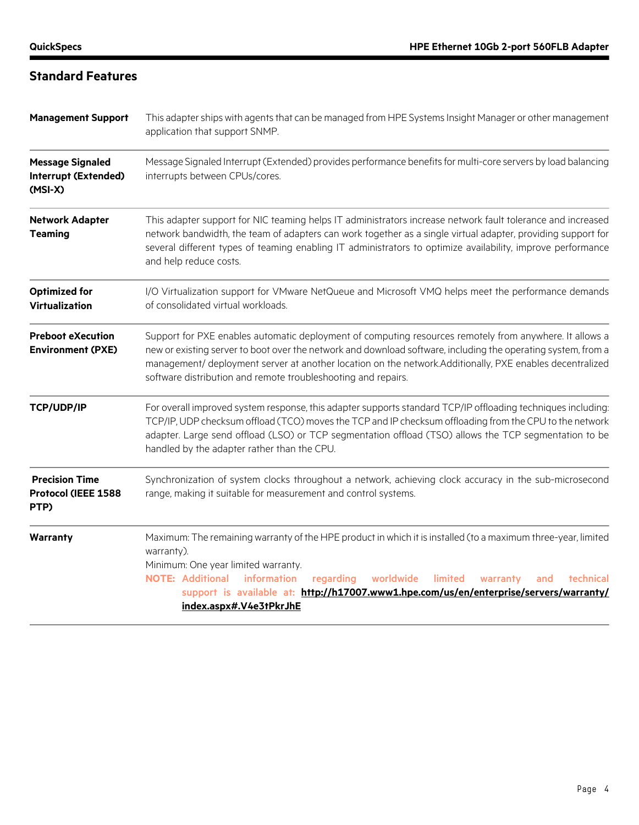# **Standard Features**

| <b>Management Support</b>                                    | This adapter ships with agents that can be managed from HPE Systems Insight Manager or other management<br>application that support SNMP.                                                                                                                                                                                                                                                              |  |  |
|--------------------------------------------------------------|--------------------------------------------------------------------------------------------------------------------------------------------------------------------------------------------------------------------------------------------------------------------------------------------------------------------------------------------------------------------------------------------------------|--|--|
| <b>Message Signaled</b><br>Interrupt (Extended)<br>$(MSI-X)$ | Message Signaled Interrupt (Extended) provides performance benefits for multi-core servers by load balancing<br>interrupts between CPUs/cores.                                                                                                                                                                                                                                                         |  |  |
| <b>Network Adapter</b><br><b>Teaming</b>                     | This adapter support for NIC teaming helps IT administrators increase network fault tolerance and increased<br>network bandwidth, the team of adapters can work together as a single virtual adapter, providing support for<br>several different types of teaming enabling IT administrators to optimize availability, improve performance<br>and help reduce costs.                                   |  |  |
| <b>Optimized for</b><br>Virtualization                       | I/O Virtualization support for VMware NetQueue and Microsoft VMQ helps meet the performance demands<br>of consolidated virtual workloads.                                                                                                                                                                                                                                                              |  |  |
| <b>Preboot eXecution</b><br><b>Environment (PXE)</b>         | Support for PXE enables automatic deployment of computing resources remotely from anywhere. It allows a<br>new or existing server to boot over the network and download software, including the operating system, from a<br>management/ deployment server at another location on the network.Additionally, PXE enables decentralized<br>software distribution and remote troubleshooting and repairs.  |  |  |
| TCP/UDP/IP                                                   | For overall improved system response, this adapter supports standard TCP/IP offloading techniques including:<br>TCP/IP, UDP checksum offload (TCO) moves the TCP and IP checksum offloading from the CPU to the network<br>adapter. Large send offload (LSO) or TCP segmentation offload (TSO) allows the TCP segmentation to be<br>handled by the adapter rather than the CPU.                        |  |  |
| <b>Precision Time</b><br>Protocol (IEEE 1588<br>PTP)         | Synchronization of system clocks throughout a network, achieving clock accuracy in the sub-microsecond<br>range, making it suitable for measurement and control systems.                                                                                                                                                                                                                               |  |  |
| Warranty                                                     | Maximum: The remaining warranty of the HPE product in which it is installed (to a maximum three-year, limited<br>warranty).<br>Minimum: One year limited warranty.<br><b>NOTE: Additional</b><br>information<br>regarding<br>worldwide<br>limited<br>technical<br>warranty<br>and<br>support is available at: http://h17007.www1.hpe.com/us/en/enterprise/servers/warranty/<br>index.aspx#.V4e3tPkrJhE |  |  |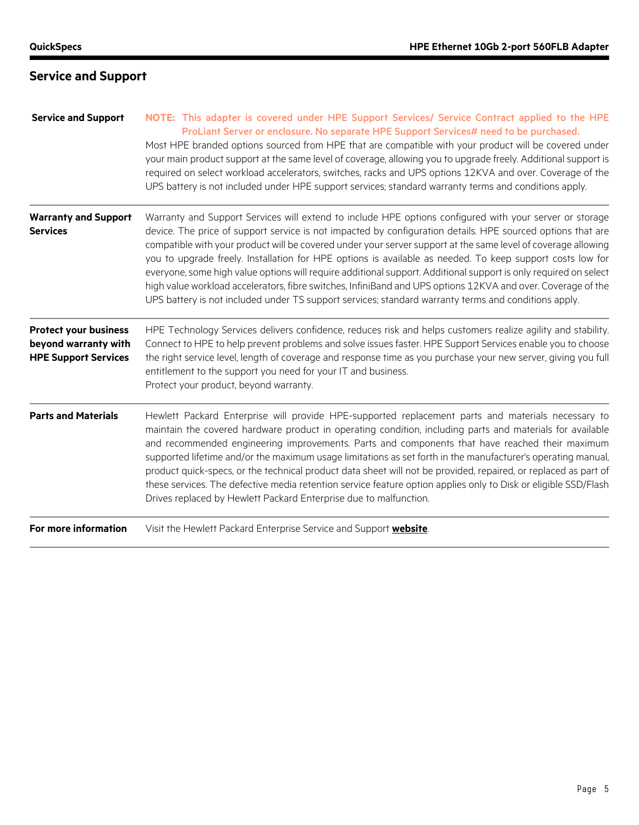| <b>Service and Support</b>                                                          | NOTE: This adapter is covered under HPE Support Services/ Service Contract applied to the HPE<br>ProLiant Server or enclosure. No separate HPE Support Services# need to be purchased.<br>Most HPE branded options sourced from HPE that are compatible with your product will be covered under<br>your main product support at the same level of coverage, allowing you to upgrade freely. Additional support is<br>required on select workload accelerators, switches, racks and UPS options 12KVA and over. Coverage of the<br>UPS battery is not included under HPE support services; standard warranty terms and conditions apply.                                                                                                                                                          |
|-------------------------------------------------------------------------------------|--------------------------------------------------------------------------------------------------------------------------------------------------------------------------------------------------------------------------------------------------------------------------------------------------------------------------------------------------------------------------------------------------------------------------------------------------------------------------------------------------------------------------------------------------------------------------------------------------------------------------------------------------------------------------------------------------------------------------------------------------------------------------------------------------|
| <b>Warranty and Support</b><br>Services                                             | Warranty and Support Services will extend to include HPE options configured with your server or storage<br>device. The price of support service is not impacted by configuration details. HPE sourced options that are<br>compatible with your product will be covered under your server support at the same level of coverage allowing<br>you to upgrade freely. Installation for HPE options is available as needed. To keep support costs low for<br>everyone, some high value options will require additional support. Additional support is only required on select<br>high value workload accelerators, fibre switches, InfiniBand and UPS options 12KVA and over. Coverage of the<br>UPS battery is not included under TS support services; standard warranty terms and conditions apply. |
| <b>Protect your business</b><br>beyond warranty with<br><b>HPE Support Services</b> | HPE Technology Services delivers confidence, reduces risk and helps customers realize agility and stability.<br>Connect to HPE to help prevent problems and solve issues faster. HPE Support Services enable you to choose<br>the right service level, length of coverage and response time as you purchase your new server, giving you full<br>entitlement to the support you need for your IT and business.<br>Protect your product, beyond warranty.                                                                                                                                                                                                                                                                                                                                          |
| <b>Parts and Materials</b>                                                          | Hewlett Packard Enterprise will provide HPE-supported replacement parts and materials necessary to<br>maintain the covered hardware product in operating condition, including parts and materials for available<br>and recommended engineering improvements. Parts and components that have reached their maximum<br>supported lifetime and/or the maximum usage limitations as set forth in the manufacturer's operating manual,<br>product quick-specs, or the technical product data sheet will not be provided, repaired, or replaced as part of<br>these services. The defective media retention service feature option applies only to Disk or eligible SSD/Flash<br>Drives replaced by Hewlett Packard Enterprise due to malfunction.                                                     |
| For more information                                                                | Visit the Hewlett Packard Enterprise Service and Support website.                                                                                                                                                                                                                                                                                                                                                                                                                                                                                                                                                                                                                                                                                                                                |

# **Service and Support**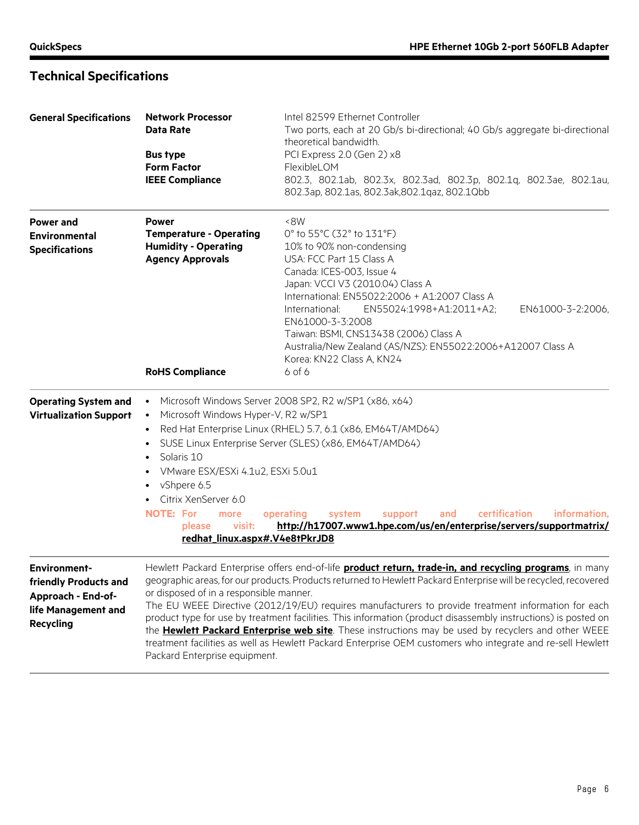# **Technical Specifications**

| <b>General Specifications</b>                                                                                 | <b>Network Processor</b><br><b>Data Rate</b><br><b>Bus type</b><br><b>Form Factor</b><br><b>IEEE Compliance</b>                                                                                                                                                                         | Intel 82599 Ethernet Controller<br>Two ports, each at 20 Gb/s bi-directional; 40 Gb/s aggregate bi-directional<br>theoretical bandwidth.<br>PCI Express 2.0 (Gen 2) x8<br>FlexibleLOM<br>802.3, 802.1ab, 802.3x, 802.3ad, 802.3p, 802.1q, 802.3ae, 802.1au,<br>802.3ap, 802.1as, 802.3ak, 802.1qaz, 802.1Qbb                                                                                                                                                                                                                                                                                                                                                                     |
|---------------------------------------------------------------------------------------------------------------|-----------------------------------------------------------------------------------------------------------------------------------------------------------------------------------------------------------------------------------------------------------------------------------------|----------------------------------------------------------------------------------------------------------------------------------------------------------------------------------------------------------------------------------------------------------------------------------------------------------------------------------------------------------------------------------------------------------------------------------------------------------------------------------------------------------------------------------------------------------------------------------------------------------------------------------------------------------------------------------|
| <b>Power and</b><br>Environmental<br><b>Specifications</b>                                                    | <b>Power</b><br><b>Temperature - Operating</b><br><b>Humidity - Operating</b><br><b>Agency Approvals</b><br><b>RoHS Compliance</b>                                                                                                                                                      | 8W<br>0° to 55°C (32° to 131°F)<br>10% to 90% non-condensing<br>USA: FCC Part 15 Class A<br>Canada: ICES-003, Issue 4<br>Japan: VCCI V3 (2010.04) Class A<br>International: EN55022:2006 + A1:2007 Class A<br>International:<br>EN55024:1998+A1:2011+A2;<br>EN61000-3-2:2006,<br>EN61000-3-3:2008<br>Taiwan: BSMI, CNS13438 (2006) Class A<br>Australia/New Zealand (AS/NZS): EN55022:2006+A12007 Class A<br>Korea: KN22 Class A, KN24<br>$6$ of $6$                                                                                                                                                                                                                             |
| <b>Operating System and</b><br><b>Virtualization Support</b>                                                  | Microsoft Windows Hyper-V, R2 w/SP1<br>$\bullet$<br>$\bullet$<br>Solaris 10<br>$\bullet$<br>VMware ESX/ESXi 4.1u2, ESXi 5.0u1<br>$\bullet$<br>vShpere 6.5<br>$\bullet$<br>Citrix XenServer 6.0<br><b>NOTE: For</b><br>more<br>visit:<br><b>please</b><br>redhat_linux.aspx#.V4e8tPkrJD8 | Microsoft Windows Server 2008 SP2, R2 w/SP1 (x86, x64)<br>Red Hat Enterprise Linux (RHEL) 5.7, 6.1 (x86, EM64T/AMD64)<br>SUSE Linux Enterprise Server (SLES) (x86, EM64T/AMD64)<br>certification<br>information,<br>operating<br>system<br>support<br>and<br>http://h17007.www1.hpe.com/us/en/enterprise/servers/supportmatrix/                                                                                                                                                                                                                                                                                                                                                  |
| <b>Environment-</b><br>friendly Products and<br>Approach - End-of-<br>life Management and<br><b>Recycling</b> | or disposed of in a responsible manner.<br>Packard Enterprise equipment.                                                                                                                                                                                                                | Hewlett Packard Enterprise offers end-of-life <b>product return, trade-in, and recycling programs</b> , in many<br>geographic areas, for our products. Products returned to Hewlett Packard Enterprise will be recycled, recovered<br>The EU WEEE Directive (2012/19/EU) requires manufacturers to provide treatment information for each<br>product type for use by treatment facilities. This information (product disassembly instructions) is posted on<br>the Hewlett Packard Enterprise web site. These instructions may be used by recyclers and other WEEE<br>treatment facilities as well as Hewlett Packard Enterprise OEM customers who integrate and re-sell Hewlett |